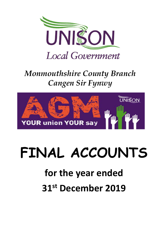

### *Monmouthshire County Branch Cangen Sir Fynwy*



# **FINAL ACCOUNTS**

## **for the year ended 31st December 2019**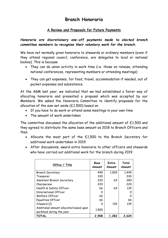#### **Branch Honoraria**

#### **A Review and Proposals for Future Payments**

#### *Honoraria are discretionary one-off payments made to elected branch committee members to recognise their voluntary work for the branch.*

We have not normally given honoraria to stewards or ordinary members (even if they attend regional council, conference, are delegates to local or national bodies). This is because

- They can do union activity in work time (i.e. those on release, attending national conferences, representing members or attending meetings)
- They can get expenses, for food, travel, accommodation if needed, out of pocket expenses and subsistence.

At the AGM last year, we indicated that we had established a fairer way of allocating honoraria and presented a proposal which was accepted by our Members. We asked the Honoraria Committee to identify proposals for the allocation of the sum set aside (£1,500) based on

- If you have to do work or attend some meetings in your own time
- The amount of work undertaken

The committee discussed the allocation of the additional amount of £1,500 and they agreed to distribute the same base amount as 2018 to Branch Officers and then

- Allocate the most part of the £1,500 to the Branch Secretary for additional work undertaken in 2019
- After discussions, award extra honoraria to other officers and stewards who have carried out additional work for the branch during 2019

| Office / Title                                                     | <b>Base</b><br>Amount | Extra<br>Amount | Total<br>Amount |
|--------------------------------------------------------------------|-----------------------|-----------------|-----------------|
| Branch Secretary                                                   | 440                   | 1,009           | 1,449           |
| Treasurer                                                          | 330                   |                 | 330             |
| Assistant Branch Secretary                                         | 220                   | 69              | 289             |
| Chairperson                                                        | 220                   |                 | 220             |
| Health & Safety Officer                                            | 66                    | 69              | 135             |
| <b>International Officer</b>                                       | Ω                     |                 | O               |
| Welfare Officer                                                    | 66                    |                 | 0               |
| Equalities Officer                                                 | 66                    |                 | 66              |
| Steward (1)                                                        | O                     | 135             | 135             |
| Additional amount allocated based upon<br>workload during the year | 1,500                 |                 |                 |
| <b>TOTAL</b>                                                       | 2,908                 | 1,282           | 2,624           |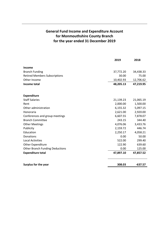#### **General Fund Income and Expenditure Account for Monmouthshire County Branch for the year ended 31 December 2019**

|                                        | 2019      | 2018      |
|----------------------------------------|-----------|-----------|
| Income                                 |           |           |
| <b>Branch Funding</b>                  | 37,772.20 | 34,438.33 |
| <b>Retired Members Subscriptions</b>   | 30.00     | 75.00     |
| Other Income                           | 10,402.93 | 12,706.62 |
| Income total                           | 48,205.13 | 47,219.95 |
| <b>Expenditure</b>                     |           |           |
| <b>Staff Salaries</b>                  | 21,139.23 | 21,065.19 |
| Rent                                   | 2,000.00  | 1,500.00  |
| Other administration                   | 6,155.32  | 5,097.15  |
| Honoraria                              | 2,621.00  | 2,920.00  |
| Conferences and group meetings         | 6,607.55  | 7,878.07  |
| <b>Branch Committee</b>                | 243.15    | 344.40    |
| <b>Other Meetings</b>                  | 4,076.06  | 3,433.76  |
| Publicity                              | 2,159.72  | 446.74    |
| Education                              | 2,250.17  | 4,058.21  |
| Donations                              | 0.00      | 50.00     |
| <b>Local Activities</b>                | 522.00    | 299.40    |
| Other Expenditure                      | 122.90    | 639.60    |
| <b>Other Branch Funding Deductions</b> | 0.00      | 125.00    |
| <b>Expenditure total</b>               | 47,897.10 | 47,857.52 |
| <b>Surplus for the year</b>            | 308.03    | $-637.57$ |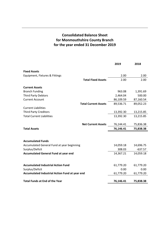#### **Consolidated Balance Sheet for Monmouthshire County Branch for the year ended 31 December 2019**

|                                                | 2019      | 2018      |
|------------------------------------------------|-----------|-----------|
| <b>Fixed Assets</b>                            |           |           |
| Equipment, Fixtures & Fittings                 | 2.00      | 2.00      |
| <b>Total Fixed Assets</b>                      | 2.00      | 2.00      |
| <b>Current Assets</b>                          |           |           |
| <b>Branch Funding</b>                          | 963.08    | 1,391.69  |
| <b>Third Party Debtors</b>                     | 2,464.04  | 500.00    |
| <b>Current Account</b>                         | 86,109.59 | 87,160.54 |
| <b>Total Current Assets</b>                    | 89,536.71 | 89,052.23 |
| <b>Current Liabilities</b>                     |           |           |
| <b>Third Party Creditors</b>                   | 13,392.30 | 13,215.85 |
| <b>Total Current Liabilities</b>               | 13,392.30 | 13,215.85 |
| <b>Net Current Assets</b>                      | 76,144.41 | 75,836.38 |
| <b>Total Assets</b>                            | 76,146.41 | 75,838.38 |
|                                                |           |           |
| <b>Accumulated Funds</b>                       |           |           |
| Accumulated General Fund at year beginning     | 14,059.18 | 14,696.75 |
| Surplus/Deficit                                | 308.03    | $-637.57$ |
| <b>Accumulated General Fund at year end</b>    | 14,367.21 | 14,059.18 |
|                                                |           |           |
| <b>Accumulated Industrial Action Fund</b>      | 61,779.20 | 61,779.20 |
| Surplus/Deficit                                | 0.00      | 0.00      |
| Accumulated Industrial Action Fund at year end | 61,779.20 | 61,779.20 |
| <b>Total Funds at End of the Year</b>          | 76,146.41 | 75,838.38 |